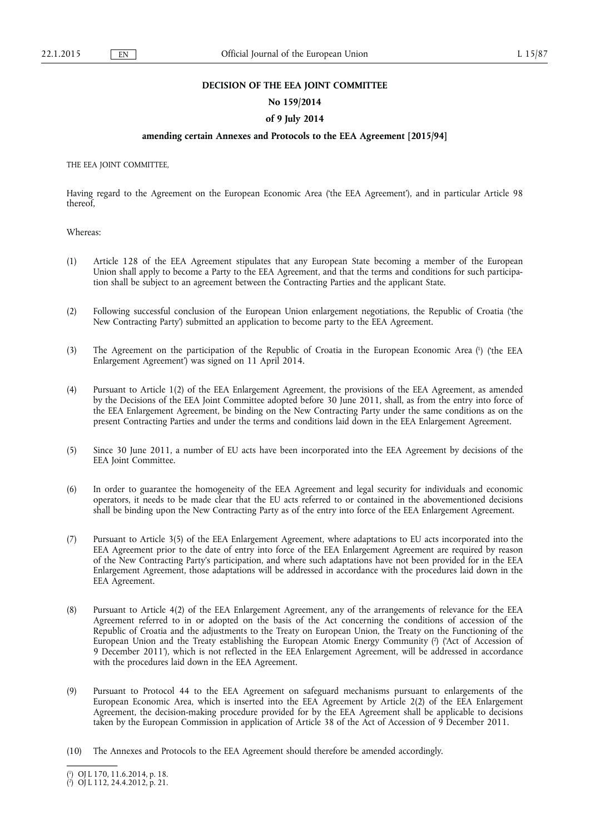## **DECISION OF THE EEA JOINT COMMITTEE**

## **No 159/2014**

## **of 9 July 2014**

## **amending certain Annexes and Protocols to the EEA Agreement [2015/94]**

THE EEA JOINT COMMITTEE,

Having regard to the Agreement on the European Economic Area ('the EEA Agreement'), and in particular Article 98 thereof,

Whereas:

- (1) Article 128 of the EEA Agreement stipulates that any European State becoming a member of the European Union shall apply to become a Party to the EEA Agreement, and that the terms and conditions for such participation shall be subject to an agreement between the Contracting Parties and the applicant State.
- (2) Following successful conclusion of the European Union enlargement negotiations, the Republic of Croatia ('the New Contracting Party') submitted an application to become party to the EEA Agreement.
- (3) The Agreement on the participation of the Republic of Croatia in the European Economic Area (1) ('the EEA Enlargement Agreement') was signed on 11 April 2014.
- (4) Pursuant to Article 1(2) of the EEA Enlargement Agreement, the provisions of the EEA Agreement, as amended by the Decisions of the EEA Joint Committee adopted before 30 June 2011, shall, as from the entry into force of the EEA Enlargement Agreement, be binding on the New Contracting Party under the same conditions as on the present Contracting Parties and under the terms and conditions laid down in the EEA Enlargement Agreement.
- (5) Since 30 June 2011, a number of EU acts have been incorporated into the EEA Agreement by decisions of the EEA Joint Committee.
- (6) In order to guarantee the homogeneity of the EEA Agreement and legal security for individuals and economic operators, it needs to be made clear that the EU acts referred to or contained in the abovementioned decisions shall be binding upon the New Contracting Party as of the entry into force of the EEA Enlargement Agreement.
- (7) Pursuant to Article 3(5) of the EEA Enlargement Agreement, where adaptations to EU acts incorporated into the EEA Agreement prior to the date of entry into force of the EEA Enlargement Agreement are required by reason of the New Contracting Party's participation, and where such adaptations have not been provided for in the EEA Enlargement Agreement, those adaptations will be addressed in accordance with the procedures laid down in the EEA Agreement.
- (8) Pursuant to Article 4(2) of the EEA Enlargement Agreement, any of the arrangements of relevance for the EEA Agreement referred to in or adopted on the basis of the Act concerning the conditions of accession of the Republic of Croatia and the adjustments to the Treaty on European Union, the Treaty on the Functioning of the European Union and the Treaty establishing the European Atomic Energy Community (?) ('Act of Accession of 9 December 2011'), which is not reflected in the EEA Enlargement Agreement, will be addressed in accordance with the procedures laid down in the EEA Agreement.
- (9) Pursuant to Protocol 44 to the EEA Agreement on safeguard mechanisms pursuant to enlargements of the European Economic Area, which is inserted into the EEA Agreement by Article 2(2) of the EEA Enlargement Agreement, the decision-making procedure provided for by the EEA Agreement shall be applicable to decisions taken by the European Commission in application of Article 38 of the Act of Accession of 9 December 2011.
- (10) The Annexes and Protocols to the EEA Agreement should therefore be amended accordingly.

<sup>(</sup> 1 ) OJ L 170, 11.6.2014, p. 18.

<sup>(</sup> 2 ) OJ L 112, 24.4.2012, p. 21.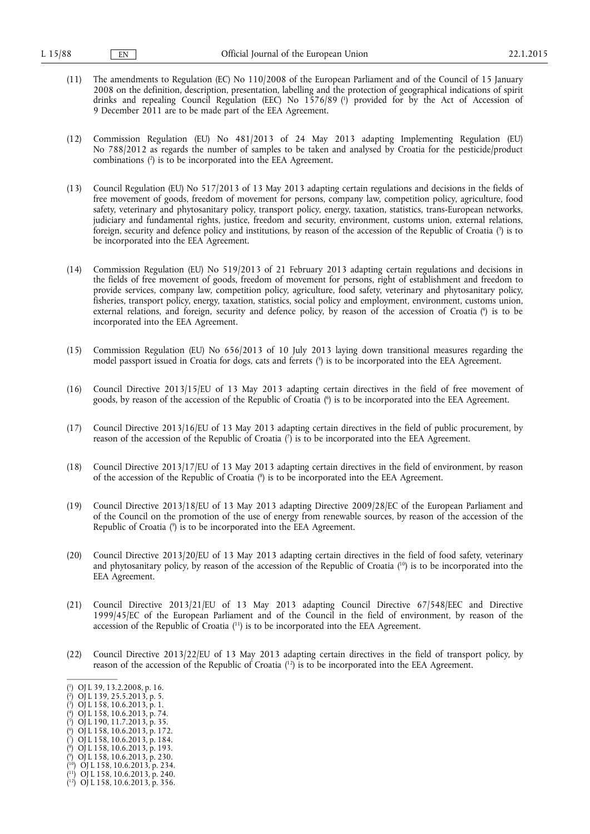- (11) The amendments to Regulation (EC) No 110/2008 of the European Parliament and of the Council of 15 January 2008 on the definition, description, presentation, labelling and the protection of geographical indications of spirit drinks and repealing Council Regulation (EEC) No 1576/89 (1) provided for by the Act of Accession of 9 December 2011 are to be made part of the EEA Agreement.
- (12) Commission Regulation (EU) No 481/2013 of 24 May 2013 adapting Implementing Regulation (EU) No 788/2012 as regards the number of samples to be taken and analysed by Croatia for the pesticide/product combinations  $(2)$  is to be incorporated into the EEA Agreement.
- (13) Council Regulation (EU) No 517/2013 of 13 May 2013 adapting certain regulations and decisions in the fields of free movement of goods, freedom of movement for persons, company law, competition policy, agriculture, food safety, veterinary and phytosanitary policy, transport policy, energy, taxation, statistics, trans-European networks, judiciary and fundamental rights, justice, freedom and security, environment, customs union, external relations, foreign, security and defence policy and institutions, by reason of the accession of the Republic of Croatia (?) is to be incorporated into the EEA Agreement.
- (14) Commission Regulation (EU) No 519/2013 of 21 February 2013 adapting certain regulations and decisions in the fields of free movement of goods, freedom of movement for persons, right of establishment and freedom to provide services, company law, competition policy, agriculture, food safety, veterinary and phytosanitary policy, fisheries, transport policy, energy, taxation, statistics, social policy and employment, environment, customs union, external relations, and foreign, security and defence policy, by reason of the accession of Croatia (4 ) is to be incorporated into the EEA Agreement.
- (15) Commission Regulation (EU) No 656/2013 of 10 July 2013 laying down transitional measures regarding the model passport issued in Croatia for dogs, cats and ferrets (5) is to be incorporated into the EEA Agreement.
- (16) Council Directive 2013/15/EU of 13 May 2013 adapting certain directives in the field of free movement of goods, by reason of the accession of the Republic of Croatia (6 ) is to be incorporated into the EEA Agreement.
- (17) Council Directive 2013/16/EU of 13 May 2013 adapting certain directives in the field of public procurement, by reason of the accession of the Republic of Croatia (7 ) is to be incorporated into the EEA Agreement.
- (18) Council Directive 2013/17/EU of 13 May 2013 adapting certain directives in the field of environment, by reason of the accession of the Republic of Croatia (<sup>8</sup>) is to be incorporated into the EEA Agreement.
- (19) Council Directive 2013/18/EU of 13 May 2013 adapting Directive 2009/28/EC of the European Parliament and of the Council on the promotion of the use of energy from renewable sources, by reason of the accession of the Republic of Croatia (9 ) is to be incorporated into the EEA Agreement.
- (20) Council Directive 2013/20/EU of 13 May 2013 adapting certain directives in the field of food safety, veterinary and phytosanitary policy, by reason of the accession of the Republic of Croatia (10) is to be incorporated into the EEA Agreement.
- (21) Council Directive 2013/21/EU of 13 May 2013 adapting Council Directive 67/548/EEC and Directive 1999/45/EC of the European Parliament and of the Council in the field of environment, by reason of the accession of the Republic of Croatia (<sup>11</sup>) is to be incorporated into the EEA Agreement.
- (22) Council Directive 2013/22/EU of 13 May 2013 adapting certain directives in the field of transport policy, by reason of the accession of the Republic of Croatia (12) is to be incorporated into the EEA Agreement.

- $(7)$  OJ L 158, 10.6.2013, p. 184.
- ( 8 ) OJ L 158, 10.6.2013, p. 193.
- ( 9 ) OJ L 158, 10.6.2013, p. 230.

<sup>(</sup> 1 ) OJ L 39, 13.2.2008, p. 16.

<sup>(</sup> 2 ) OJ L 139, 25.5.2013, p. 5.

<sup>(</sup> 3 ) OJ L 158, 10.6.2013, p. 1.

<sup>(</sup> 4 ) OJ L 158, 10.6.2013, p. 74. ( 5 ) OJ L 190, 11.7.2013, p. 35.

<sup>(</sup> 6 ) OJ L 158, 10.6.2013, p. 172.

 $(10)$  OJ L 158, 10.6.2013, p. 234.

<sup>(</sup> 11) OJ L 158, 10.6.2013, p. 240.

<sup>(</sup> 12) OJ L 158, 10.6.2013, p. 356.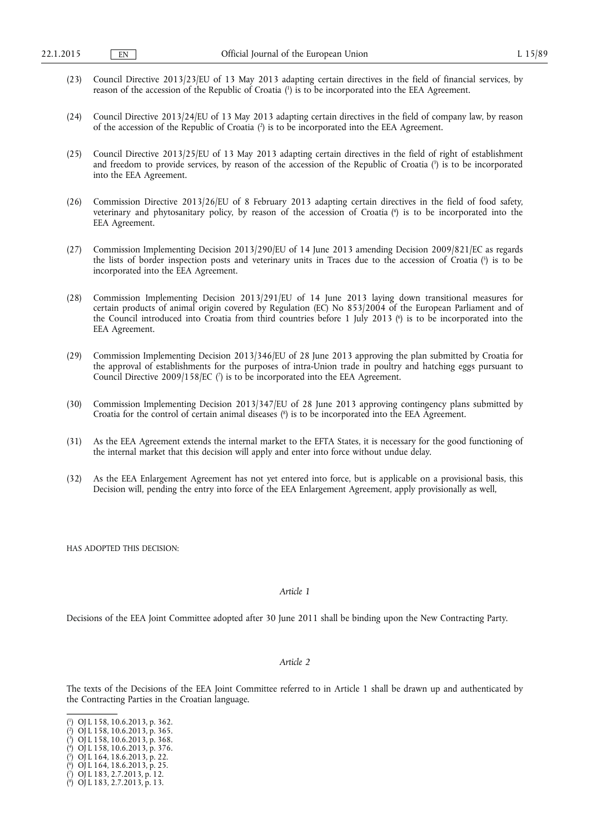- (23) Council Directive 2013/23/EU of 13 May 2013 adapting certain directives in the field of financial services, by reason of the accession of the Republic of Croatia (<sup>1</sup>) is to be incorporated into the EEA Agreement.
- (24) Council Directive 2013/24/EU of 13 May 2013 adapting certain directives in the field of company law, by reason of the accession of the Republic of Croatia  $(2)$  is to be incorporated into the EEA Agreement.
- (25) Council Directive 2013/25/EU of 13 May 2013 adapting certain directives in the field of right of establishment and freedom to provide services, by reason of the accession of the Republic of Croatia  $\binom{3}{2}$  is to be incorporated into the EEA Agreement.
- (26) Commission Directive 2013/26/EU of 8 February 2013 adapting certain directives in the field of food safety, veterinary and phytosanitary policy, by reason of the accession of Croatia (<sup>4</sup>) is to be incorporated into the EEA Agreement.
- (27) Commission Implementing Decision 2013/290/EU of 14 June 2013 amending Decision 2009/821/EC as regards the lists of border inspection posts and veterinary units in Traces due to the accession of Croatia (5 ) is to be incorporated into the EEA Agreement.
- (28) Commission Implementing Decision 2013/291/EU of 14 June 2013 laying down transitional measures for certain products of animal origin covered by Regulation (EC) No 853/2004 of the European Parliament and of the Council introduced into Croatia from third countries before 1 July 2013  $\binom{6}{1}$  is to be incorporated into the EEA Agreement.
- (29) Commission Implementing Decision 2013/346/EU of 28 June 2013 approving the plan submitted by Croatia for the approval of establishments for the purposes of intra-Union trade in poultry and hatching eggs pursuant to Council Directive  $2009/158/EC$  ( $\bar{ }$ ) is to be incorporated into the EEA Agreement.
- (30) Commission Implementing Decision 2013/347/EU of 28 June 2013 approving contingency plans submitted by Croatia for the control of certain animal diseases (8 ) is to be incorporated into the EEA Agreement.
- (31) As the EEA Agreement extends the internal market to the EFTA States, it is necessary for the good functioning of the internal market that this decision will apply and enter into force without undue delay.
- (32) As the EEA Enlargement Agreement has not yet entered into force, but is applicable on a provisional basis, this Decision will, pending the entry into force of the EEA Enlargement Agreement, apply provisionally as well,

HAS ADOPTED THIS DECISION:

## *Article 1*

Decisions of the EEA Joint Committee adopted after 30 June 2011 shall be binding upon the New Contracting Party.

## *Article 2*

The texts of the Decisions of the EEA Joint Committee referred to in Article 1 shall be drawn up and authenticated by the Contracting Parties in the Croatian language.

- ( 2 ) OJ L 158, 10.6.2013, p. 365.
- $(3)$  OJ L 158, 10.6.2013, p. 368.
- ( 4 ) OJ L 158, 10.6.2013, p. 376.
- ( 5 ) OJ L 164, 18.6.2013, p. 22.

<sup>(</sup> 1 ) OJ L 158, 10.6.2013, p. 362.

 $(9)$  OJ L 164, 18.6.2013, p. 25. ( 7 ) OJ L 183, 2.7.2013, p. 12.

<sup>(</sup> 8 ) OJ L 183, 2.7.2013, p. 13.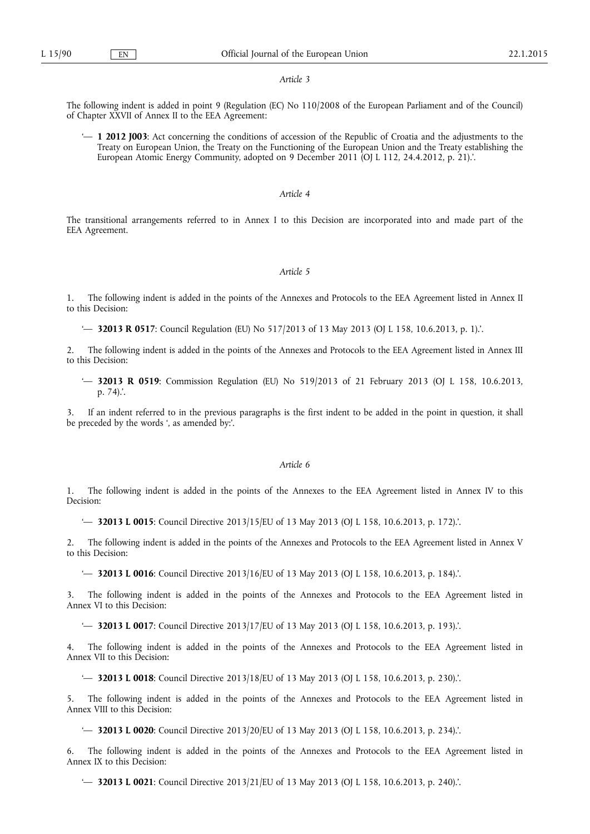#### *Article 3*

The following indent is added in point 9 (Regulation (EC) No 110/2008 of the European Parliament and of the Council) of Chapter XXVII of Annex II to the EEA Agreement:

'— **1 2012 J003**: Act concerning the conditions of accession of the Republic of Croatia and the adjustments to the Treaty on European Union, the Treaty on the Functioning of the European Union and the Treaty establishing the European Atomic Energy Community, adopted on 9 December 2011 (OJ L 112, 24.4.2012, p. 21).

#### *Article 4*

The transitional arrangements referred to in Annex I to this Decision are incorporated into and made part of the EEA Agreement.

#### *Article 5*

1. The following indent is added in the points of the Annexes and Protocols to the EEA Agreement listed in Annex II to this Decision:

'— **32013 R 0517**: Council Regulation (EU) No 517/2013 of 13 May 2013 (OJ L 158, 10.6.2013, p. 1).'.

2. The following indent is added in the points of the Annexes and Protocols to the EEA Agreement listed in Annex III to this Decision:

'— **32013 R 0519**: Commission Regulation (EU) No 519/2013 of 21 February 2013 (OJ L 158, 10.6.2013, p. 74).'.

3. If an indent referred to in the previous paragraphs is the first indent to be added in the point in question, it shall be preceded by the words ', as amended by:'.

# *Article 6*

1. The following indent is added in the points of the Annexes to the EEA Agreement listed in Annex IV to this Decision:

'— **32013 L 0015**: Council Directive 2013/15/EU of 13 May 2013 (OJ L 158, 10.6.2013, p. 172).'.

2. The following indent is added in the points of the Annexes and Protocols to the EEA Agreement listed in Annex V to this Decision:

'— **32013 L 0016**: Council Directive 2013/16/EU of 13 May 2013 (OJ L 158, 10.6.2013, p. 184).'.

3. The following indent is added in the points of the Annexes and Protocols to the EEA Agreement listed in Annex VI to this Decision:

'— **32013 L 0017**: Council Directive 2013/17/EU of 13 May 2013 (OJ L 158, 10.6.2013, p. 193).'.

4. The following indent is added in the points of the Annexes and Protocols to the EEA Agreement listed in Annex VII to this Decision:

'— **32013 L 0018**: Council Directive 2013/18/EU of 13 May 2013 (OJ L 158, 10.6.2013, p. 230).'.

5. The following indent is added in the points of the Annexes and Protocols to the EEA Agreement listed in Annex VIII to this Decision:

'— **32013 L 0020**: Council Directive 2013/20/EU of 13 May 2013 (OJ L 158, 10.6.2013, p. 234).'.

6. The following indent is added in the points of the Annexes and Protocols to the EEA Agreement listed in Annex IX to this Decision:

'— **32013 L 0021**: Council Directive 2013/21/EU of 13 May 2013 (OJ L 158, 10.6.2013, p. 240).'.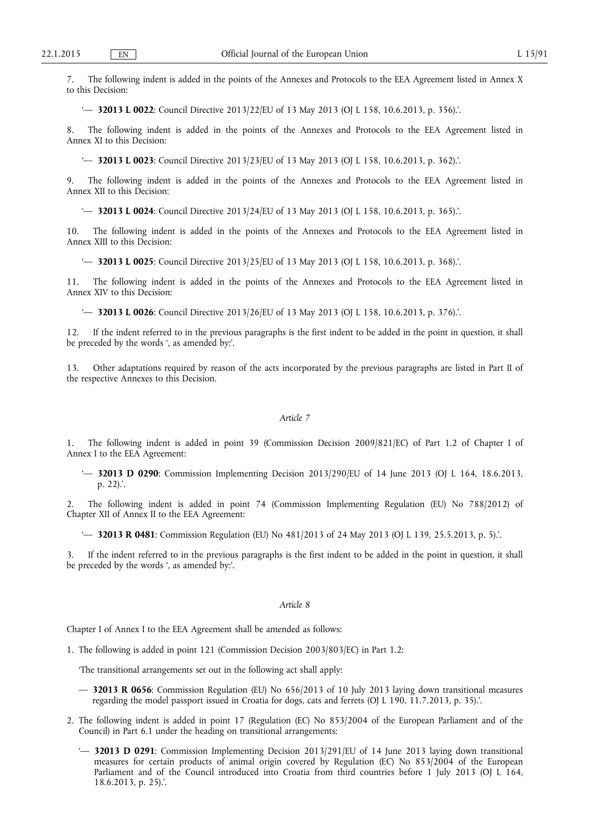7. The following indent is added in the points of the Annexes and Protocols to the EEA Agreement listed in Annex X to this Decision:

'— **32013 L 0022**: Council Directive 2013/22/EU of 13 May 2013 (OJ L 158, 10.6.2013, p. 356).'.

8. The following indent is added in the points of the Annexes and Protocols to the EEA Agreement listed in Annex XI to this Decision:

'— **32013 L 0023**: Council Directive 2013/23/EU of 13 May 2013 (OJ L 158, 10.6.2013, p. 362).'.

9. The following indent is added in the points of the Annexes and Protocols to the EEA Agreement listed in Annex XII to this Decision:

'— **32013 L 0024**: Council Directive 2013/24/EU of 13 May 2013 (OJ L 158, 10.6.2013, p. 365).'.

10. The following indent is added in the points of the Annexes and Protocols to the EEA Agreement listed in Annex XIII to this Decision:

'— **32013 L 0025**: Council Directive 2013/25/EU of 13 May 2013 (OJ L 158, 10.6.2013, p. 368).'.

11. The following indent is added in the points of the Annexes and Protocols to the EEA Agreement listed in Annex XIV to this Decision:

'— **32013 L 0026**: Council Directive 2013/26/EU of 13 May 2013 (OJ L 158, 10.6.2013, p. 376).'.

12. If the indent referred to in the previous paragraphs is the first indent to be added in the point in question, it shall be preceded by the words ', as amended by:'.

13. Other adaptations required by reason of the acts incorporated by the previous paragraphs are listed in Part II of the respective Annexes to this Decision.

## *Article 7*

1. The following indent is added in point 39 (Commission Decision 2009/821/EC) of Part 1.2 of Chapter I of Annex I to the EEA Agreement:

'— **32013 D 0290**: Commission Implementing Decision 2013/290/EU of 14 June 2013 (OJ L 164, 18.6.2013, p. 22).'.

2. The following indent is added in point 74 (Commission Implementing Regulation (EU) No 788/2012) of Chapter XII of Annex II to the EEA Agreement:

'— **32013 R 0481**: Commission Regulation (EU) No 481/2013 of 24 May 2013 (OJ L 139, 25.5.2013, p. 5).'.

If the indent referred to in the previous paragraphs is the first indent to be added in the point in question, it shall be preceded by the words ', as amended by:'.

## *Article 8*

Chapter I of Annex I to the EEA Agreement shall be amended as follows:

1. The following is added in point 121 (Commission Decision 2003/803/EC) in Part 1.2:

'The transitional arrangements set out in the following act shall apply:

- **32013 R 0656**: Commission Regulation (EU) No 656/2013 of 10 July 2013 laying down transitional measures regarding the model passport issued in Croatia for dogs, cats and ferrets (OJ L 190, 11.7.2013, p. 35).'.
- 2. The following indent is added in point 17 (Regulation (EC) No 853/2004 of the European Parliament and of the Council) in Part 6.1 under the heading on transitional arrangements:
	- '— **32013 D 0291**: Commission Implementing Decision 2013/291/EU of 14 June 2013 laying down transitional measures for certain products of animal origin covered by Regulation (EC) No 853/2004 of the European Parliament and of the Council introduced into Croatia from third countries before 1 July 2013 (OJ L 164, 18.6.2013, p. 25).'.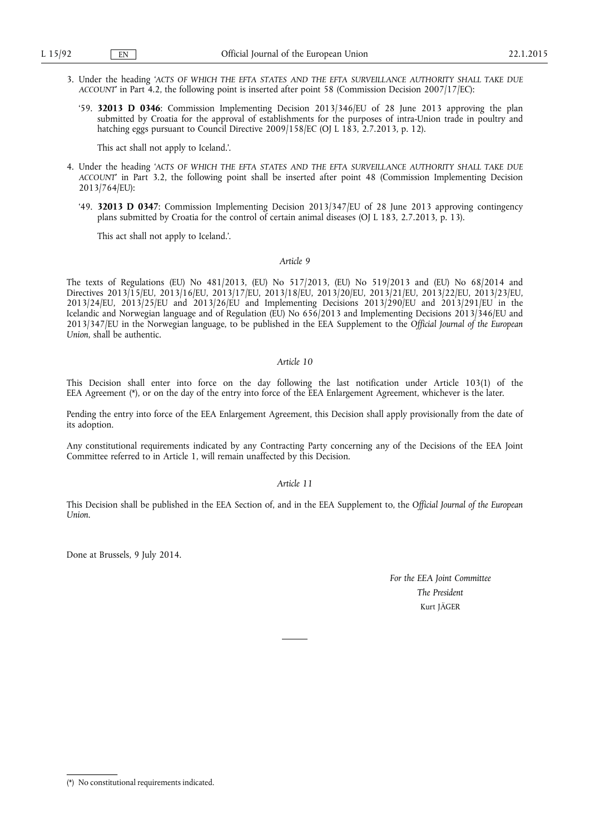- 3. Under the heading '*ACTS OF WHICH THE EFTA STATES AND THE EFTA SURVEILLANCE AUTHORITY SHALL TAKE DUE ACCOUNT*' in Part 4.2, the following point is inserted after point 58 (Commission Decision 2007/17/EC):
	- '59. **32013 D 0346**: Commission Implementing Decision 2013/346/EU of 28 June 2013 approving the plan submitted by Croatia for the approval of establishments for the purposes of intra-Union trade in poultry and hatching eggs pursuant to Council Directive 2009/158/EC (OJ L 183, 2.7.2013, p. 12).

This act shall not apply to Iceland.'.

- 4. Under the heading '*ACTS OF WHICH THE EFTA STATES AND THE EFTA SURVEILLANCE AUTHORITY SHALL TAKE DUE ACCOUNT*' in Part 3.2, the following point shall be inserted after point 48 (Commission Implementing Decision 2013/764/EU):
	- '49. **32013 D 0347**: Commission Implementing Decision 2013/347/EU of 28 June 2013 approving contingency plans submitted by Croatia for the control of certain animal diseases (OJ L 183, 2.7.2013, p. 13).

This act shall not apply to Iceland.'.

#### *Article 9*

The texts of Regulations (EU) No 481/2013, (EU) No 517/2013, (EU) No 519/2013 and (EU) No 68/2014 and Directives 2013/15/EU, 2013/16/EU, 2013/17/EU, 2013/18/EU, 2013/20/EU, 2013/21/EU, 2013/22/EU, 2013/23/EU, 2013/24/EU, 2013/25/EU and 2013/26/EU and Implementing Decisions 2013/290/EU and 2013/291/EU in the Icelandic and Norwegian language and of Regulation (EU) No 656/2013 and Implementing Decisions 2013/346/EU and 2013/347/EU in the Norwegian language, to be published in the EEA Supplement to the *Official Journal of the European Union*, shall be authentic.

#### *Article 10*

This Decision shall enter into force on the day following the last notification under Article 103(1) of the EEA Agreement (\*), or on the day of the entry into force of the EEA Enlargement Agreement, whichever is the later.

Pending the entry into force of the EEA Enlargement Agreement, this Decision shall apply provisionally from the date of its adoption.

Any constitutional requirements indicated by any Contracting Party concerning any of the Decisions of the EEA Joint Committee referred to in Article 1, will remain unaffected by this Decision.

#### *Article 11*

This Decision shall be published in the EEA Section of, and in the EEA Supplement to, the *Official Journal of the European Union*.

Done at Brussels, 9 July 2014.

*For the EEA Joint Committee The President*  Kurt JÄGER

<sup>(\*)</sup> No constitutional requirements indicated.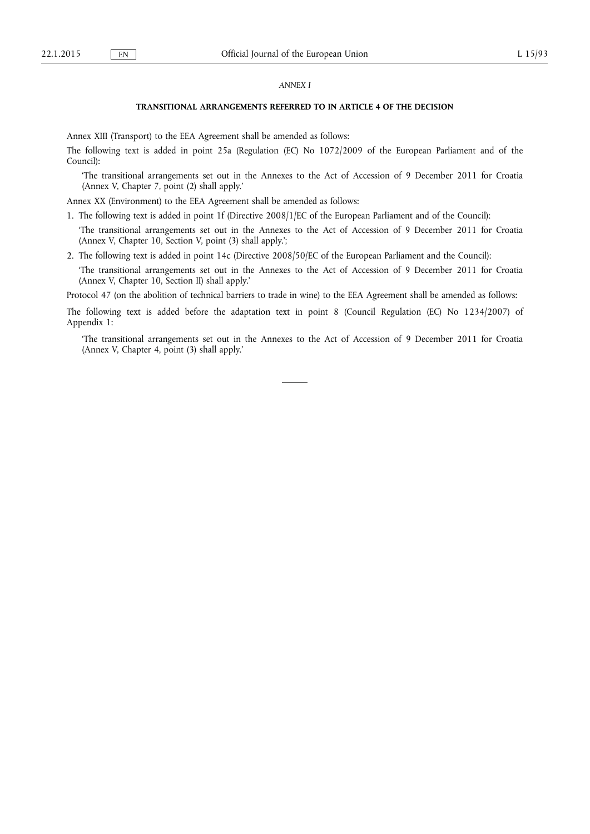#### *ANNEX I*

# **TRANSITIONAL ARRANGEMENTS REFERRED TO IN ARTICLE 4 OF THE DECISION**

Annex XIII (Transport) to the EEA Agreement shall be amended as follows:

The following text is added in point 25a (Regulation (EC) No 1072/2009 of the European Parliament and of the Council):

'The transitional arrangements set out in the Annexes to the Act of Accession of 9 December 2011 for Croatia (Annex V, Chapter 7, point (2) shall apply.'

Annex XX (Environment) to the EEA Agreement shall be amended as follows:

1. The following text is added in point 1f (Directive 2008/1/EC of the European Parliament and of the Council):

'The transitional arrangements set out in the Annexes to the Act of Accession of 9 December 2011 for Croatia (Annex V, Chapter 10, Section V, point (3) shall apply.';

2. The following text is added in point 14c (Directive 2008/50/EC of the European Parliament and the Council):

'The transitional arrangements set out in the Annexes to the Act of Accession of 9 December 2011 for Croatia (Annex V, Chapter 10, Section II) shall apply.'

Protocol 47 (on the abolition of technical barriers to trade in wine) to the EEA Agreement shall be amended as follows:

The following text is added before the adaptation text in point 8 (Council Regulation (EC) No 1234/2007) of Appendix 1:

'The transitional arrangements set out in the Annexes to the Act of Accession of 9 December 2011 for Croatia (Annex V, Chapter 4, point (3) shall apply.'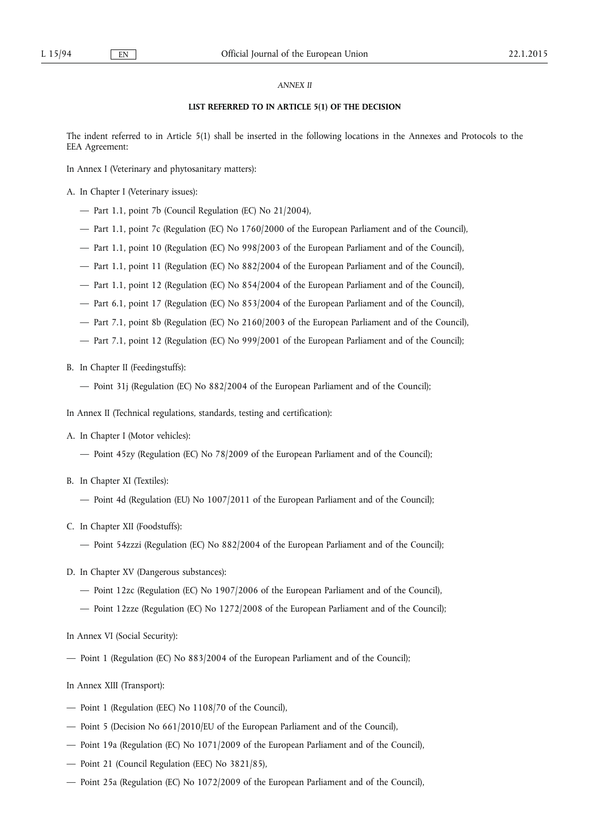#### *ANNEX II*

# **LIST REFERRED TO IN ARTICLE 5(1) OF THE DECISION**

The indent referred to in Article 5(1) shall be inserted in the following locations in the Annexes and Protocols to the EEA Agreement:

In Annex I (Veterinary and phytosanitary matters):

A. In Chapter I (Veterinary issues):

— Part 1.1, point 7b (Council Regulation (EC) No 21/2004),

- Part 1.1, point 7c (Regulation (EC) No 1760/2000 of the European Parliament and of the Council),
- Part 1.1, point 10 (Regulation (EC) No 998/2003 of the European Parliament and of the Council),
- Part 1.1, point 11 (Regulation (EC) No 882/2004 of the European Parliament and of the Council),
- Part 1.1, point 12 (Regulation (EC) No 854/2004 of the European Parliament and of the Council),
- Part 6.1, point 17 (Regulation (EC) No 853/2004 of the European Parliament and of the Council),
- Part 7.1, point 8b (Regulation (EC) No 2160/2003 of the European Parliament and of the Council),
- Part 7.1, point 12 (Regulation (EC) No 999/2001 of the European Parliament and of the Council);
- B. In Chapter II (Feedingstuffs):
	- Point 31j (Regulation (EC) No 882/2004 of the European Parliament and of the Council);
- In Annex II (Technical regulations, standards, testing and certification):
- A. In Chapter I (Motor vehicles):
	- Point 45zy (Regulation (EC) No 78/2009 of the European Parliament and of the Council);
- B. In Chapter XI (Textiles):
	- Point 4d (Regulation (EU) No 1007/2011 of the European Parliament and of the Council);
- C. In Chapter XII (Foodstuffs):
	- Point 54zzzi (Regulation (EC) No 882/2004 of the European Parliament and of the Council);
- D. In Chapter XV (Dangerous substances):
	- Point 12zc (Regulation (EC) No 1907/2006 of the European Parliament and of the Council),
	- Point 12zze (Regulation (EC) No 1272/2008 of the European Parliament and of the Council);

In Annex VI (Social Security):

— Point 1 (Regulation (EC) No 883/2004 of the European Parliament and of the Council);

In Annex XIII (Transport):

- Point 1 (Regulation (EEC) No 1108/70 of the Council),
- Point 5 (Decision No 661/2010/EU of the European Parliament and of the Council),
- Point 19a (Regulation (EC) No 1071/2009 of the European Parliament and of the Council),
- Point 21 (Council Regulation (EEC) No 3821/85),
- Point 25a (Regulation (EC) No 1072/2009 of the European Parliament and of the Council),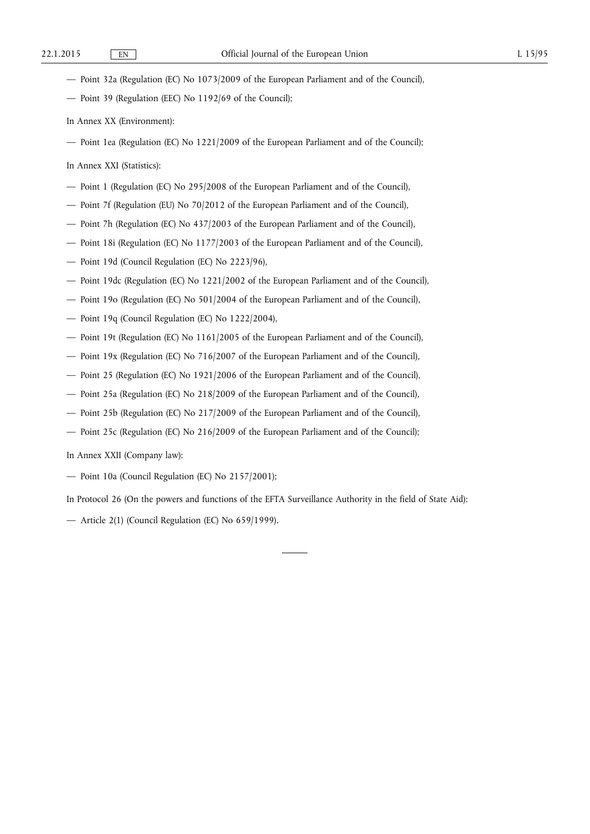- Point 32a (Regulation (EC) No 1073/2009 of the European Parliament and of the Council),
- Point 39 (Regulation (EEC) No 1192/69 of the Council);
- In Annex XX (Environment):
- Point 1ea (Regulation (EC) No 1221/2009 of the European Parliament and of the Council);

In Annex XXI (Statistics):

- Point 1 (Regulation (EC) No 295/2008 of the European Parliament and of the Council),
- Point 7f (Regulation (EU) No 70/2012 of the European Parliament and of the Council),
- Point 7h (Regulation (EC) No 437/2003 of the European Parliament and of the Council),
- Point 18i (Regulation (EC) No 1177/2003 of the European Parliament and of the Council),
- Point 19d (Council Regulation (EC) No 2223/96),
- Point 19dc (Regulation (EC) No 1221/2002 of the European Parliament and of the Council),
- Point 19o (Regulation (EC) No 501/2004 of the European Parliament and of the Council),
- Point 19q (Council Regulation (EC) No 1222/2004),
- Point 19t (Regulation (EC) No 1161/2005 of the European Parliament and of the Council),
- Point 19x (Regulation (EC) No 716/2007 of the European Parliament and of the Council),
- Point 25 (Regulation (EC) No 1921/2006 of the European Parliament and of the Council),
- Point 25a (Regulation (EC) No 218/2009 of the European Parliament and of the Council),
- Point 25b (Regulation (EC) No 217/2009 of the European Parliament and of the Council),
- Point 25c (Regulation (EC) No 216/2009 of the European Parliament and of the Council);

In Annex XXII (Company law):

— Point 10a (Council Regulation (EC) No 2157/2001);

In Protocol 26 (On the powers and functions of the EFTA Surveillance Authority in the field of State Aid):

— Article 2(1) (Council Regulation (EC) No 659/1999).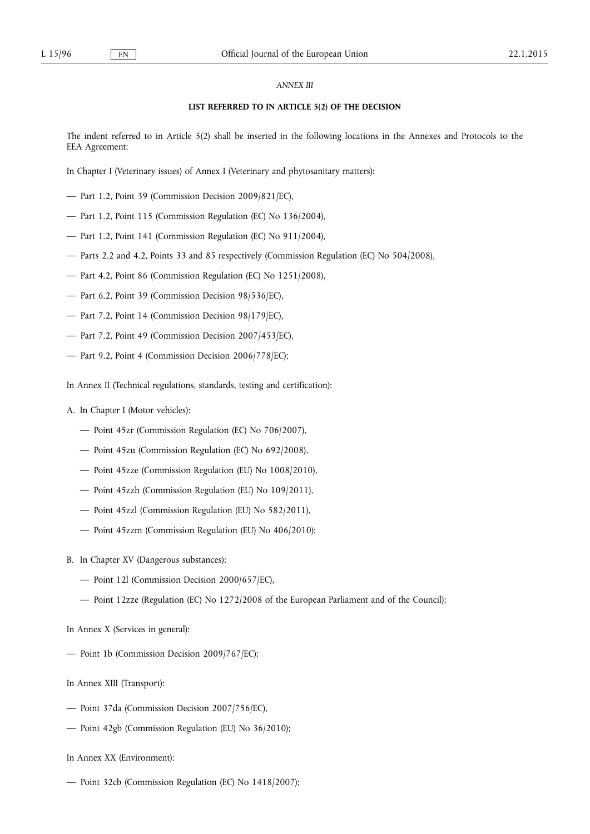# *ANNEX III*

# **LIST REFERRED TO IN ARTICLE 5(2) OF THE DECISION**

The indent referred to in Article 5(2) shall be inserted in the following locations in the Annexes and Protocols to the EEA Agreement:

- In Chapter I (Veterinary issues) of Annex I (Veterinary and phytosanitary matters):
- Part 1.2, Point 39 (Commission Decision 2009/821/EC),
- Part 1.2, Point 115 (Commission Regulation (EC) No 136/2004),
- Part 1.2, Point 141 (Commission Regulation (EC) No 911/2004),
- Parts 2.2 and 4.2, Points 33 and 85 respectively (Commission Regulation (EC) No 504/2008),
- Part 4.2, Point 86 (Commission Regulation (EC) No 1251/2008),
- Part 6.2, Point 39 (Commission Decision 98/536/EC),
- Part 7.2, Point 14 (Commission Decision 98/179/EC),
- Part 7.2, Point 49 (Commission Decision 2007/453/EC),
- Part 9.2, Point 4 (Commission Decision 2006/778/EC);
- In Annex II (Technical regulations, standards, testing and certification):
- A. In Chapter I (Motor vehicles):
	- Point 45zr (Commission Regulation (EC) No 706/2007),
	- Point 45zu (Commission Regulation (EC) No 692/2008),
	- Point 45zze (Commission Regulation (EU) No 1008/2010),
	- Point 45zzh (Commission Regulation (EU) No 109/2011),
	- Point 45zzl (Commission Regulation (EU) No 582/2011),
	- Point 45zzm (Commission Regulation (EU) No 406/2010);
- B. In Chapter XV (Dangerous substances):
	- Point 12l (Commission Decision 2000/657/EC),
	- Point 12zze (Regulation (EC) No 1272/2008 of the European Parliament and of the Council);
- In Annex X (Services in general):
- Point 1b (Commission Decision 2009/767/EC);
- In Annex XIII (Transport):
- Point 37da (Commission Decision 2007/756/EC),
- Point 42gb (Commission Regulation (EU) No 36/2010);
- In Annex XX (Environment):
- Point 32cb (Commission Regulation (EC) No 1418/2007);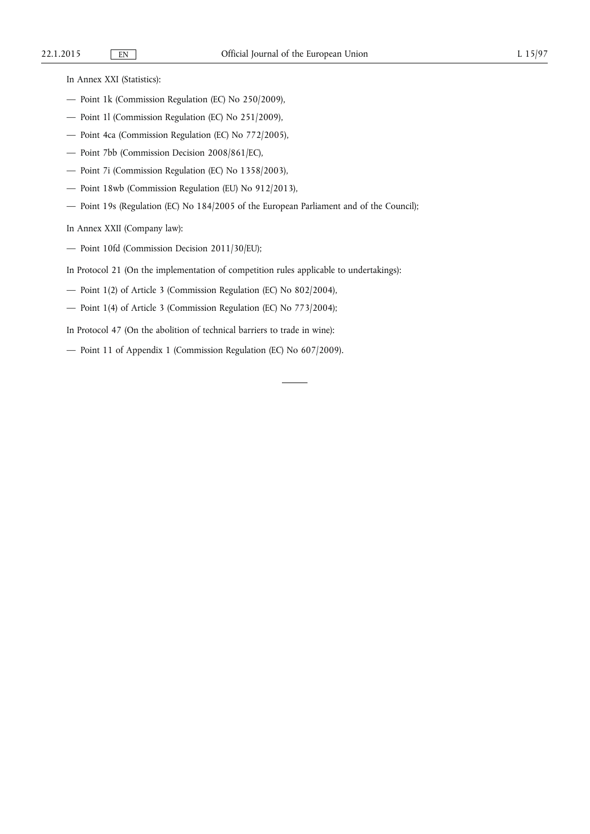In Annex XXI (Statistics):

- Point 1k (Commission Regulation (EC) No 250/2009),
- Point 1l (Commission Regulation (EC) No 251/2009),
- Point 4ca (Commission Regulation (EC) No 772/2005),
- Point 7bb (Commission Decision 2008/861/EC),
- Point 7i (Commission Regulation (EC) No 1358/2003),
- Point 18wb (Commission Regulation (EU) No 912/2013),
- Point 19s (Regulation (EC) No 184/2005 of the European Parliament and of the Council);

In Annex XXII (Company law):

- Point 10fd (Commission Decision 2011/30/EU);
- In Protocol 21 (On the implementation of competition rules applicable to undertakings):
- Point 1(2) of Article 3 (Commission Regulation (EC) No 802/2004),
- Point 1(4) of Article 3 (Commission Regulation (EC) No 773/2004);
- In Protocol 47 (On the abolition of technical barriers to trade in wine):
- Point 11 of Appendix 1 (Commission Regulation (EC) No 607/2009).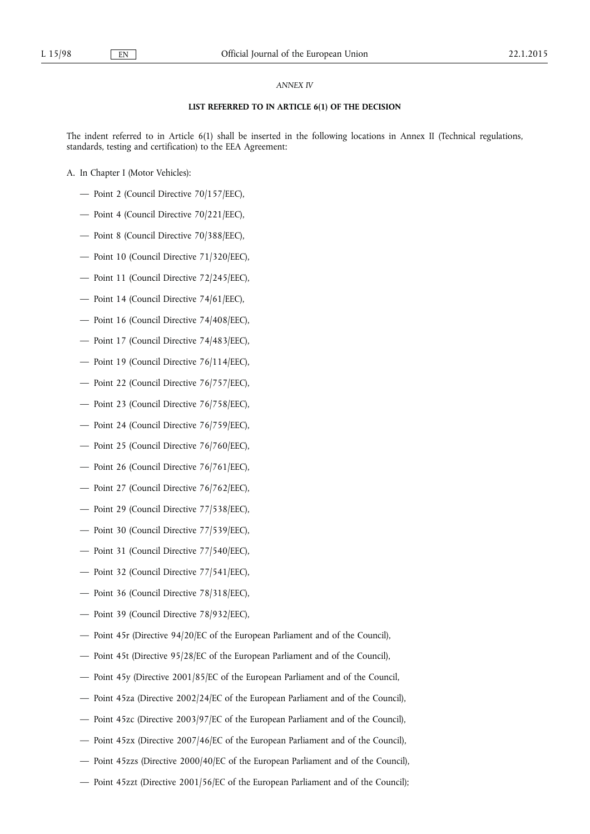#### *ANNEX IV*

## **LIST REFERRED TO IN ARTICLE 6(1) OF THE DECISION**

The indent referred to in Article 6(1) shall be inserted in the following locations in Annex II (Technical regulations, standards, testing and certification) to the EEA Agreement:

A. In Chapter I (Motor Vehicles):

- Point 2 (Council Directive 70/157/EEC),
- Point 4 (Council Directive 70/221/EEC),
- Point 8 (Council Directive 70/388/EEC),
- Point 10 (Council Directive 71/320/EEC),
- Point 11 (Council Directive 72/245/EEC),
- Point 14 (Council Directive 74/61/EEC),
- Point 16 (Council Directive 74/408/EEC),
- Point 17 (Council Directive 74/483/EEC),
- Point 19 (Council Directive 76/114/EEC),
- Point 22 (Council Directive 76/757/EEC),
- Point 23 (Council Directive 76/758/EEC),
- Point 24 (Council Directive 76/759/EEC),
- Point 25 (Council Directive 76/760/EEC),
- Point 26 (Council Directive 76/761/EEC),
- Point 27 (Council Directive 76/762/EEC),
- Point 29 (Council Directive 77/538/EEC),
- Point 30 (Council Directive 77/539/EEC),
- Point 31 (Council Directive 77/540/EEC),
- Point 32 (Council Directive 77/541/EEC),
- Point 36 (Council Directive 78/318/EEC),
- Point 39 (Council Directive 78/932/EEC),
- Point 45r (Directive 94/20/EC of the European Parliament and of the Council),
- Point 45t (Directive 95/28/EC of the European Parliament and of the Council),
- Point 45y (Directive 2001/85/EC of the European Parliament and of the Council,
- Point 45za (Directive 2002/24/EC of the European Parliament and of the Council),
- Point 45zc (Directive 2003/97/EC of the European Parliament and of the Council),
- Point 45zx (Directive 2007/46/EC of the European Parliament and of the Council),
- Point 45zzs (Directive 2000/40/EC of the European Parliament and of the Council),
- Point 45zzt (Directive 2001/56/EC of the European Parliament and of the Council);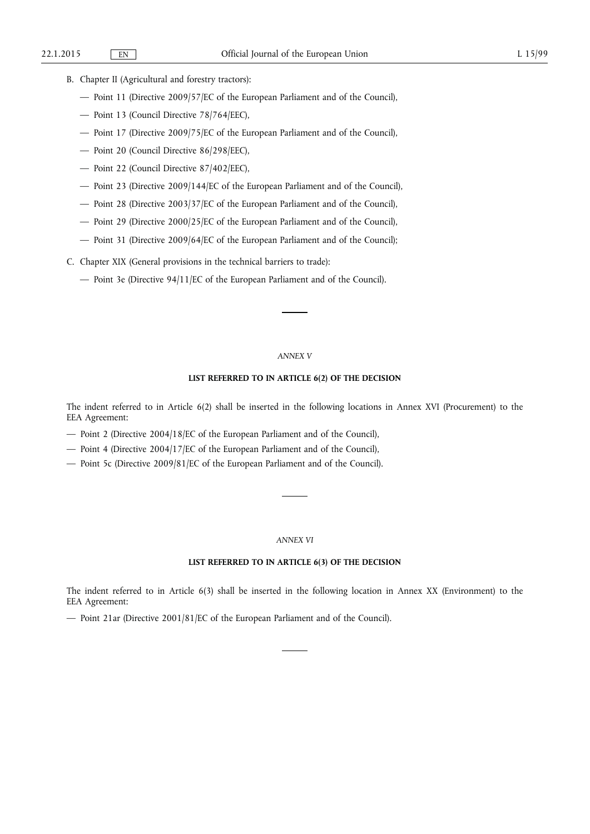B. Chapter II (Agricultural and forestry tractors):

- Point 11 (Directive 2009/57/EC of the European Parliament and of the Council),
- Point 13 (Council Directive 78/764/EEC),
- Point 17 (Directive 2009/75/EC of the European Parliament and of the Council),
- Point 20 (Council Directive 86/298/EEC),
- Point 22 (Council Directive 87/402/EEC),
- Point 23 (Directive 2009/144/EC of the European Parliament and of the Council),
- Point 28 (Directive 2003/37/EC of the European Parliament and of the Council),
- Point 29 (Directive 2000/25/EC of the European Parliament and of the Council),
- Point 31 (Directive 2009/64/EC of the European Parliament and of the Council);
- C. Chapter XIX (General provisions in the technical barriers to trade):
	- Point 3e (Directive 94/11/EC of the European Parliament and of the Council).

## *ANNEX V*

## **LIST REFERRED TO IN ARTICLE 6(2) OF THE DECISION**

The indent referred to in Article 6(2) shall be inserted in the following locations in Annex XVI (Procurement) to the EEA Agreement:

- Point 2 (Directive 2004/18/EC of the European Parliament and of the Council),
- Point 4 (Directive 2004/17/EC of the European Parliament and of the Council),
- Point 5c (Directive 2009/81/EC of the European Parliament and of the Council).

# *ANNEX VI*

# **LIST REFERRED TO IN ARTICLE 6(3) OF THE DECISION**

The indent referred to in Article 6(3) shall be inserted in the following location in Annex XX (Environment) to the EEA Agreement:

— Point 21ar (Directive 2001/81/EC of the European Parliament and of the Council).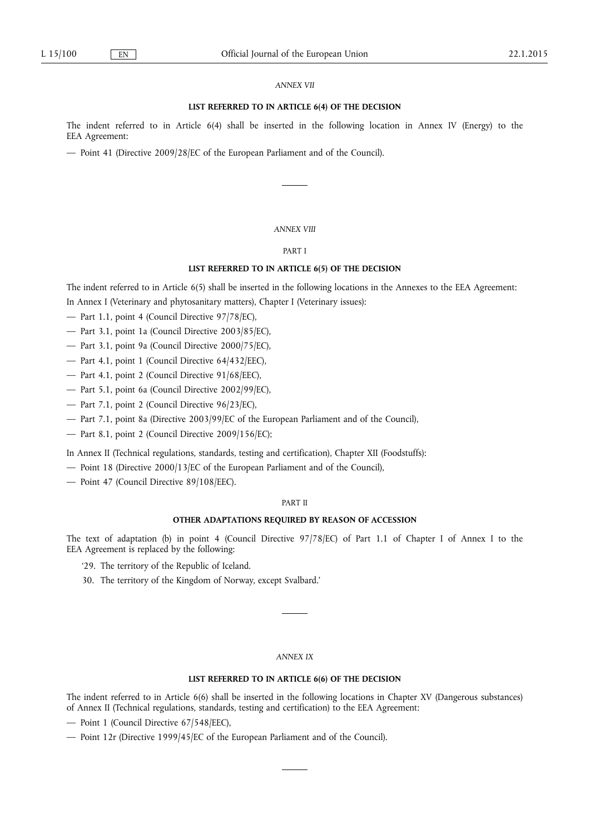## *ANNEX VII*

## **LIST REFERRED TO IN ARTICLE 6(4) OF THE DECISION**

The indent referred to in Article 6(4) shall be inserted in the following location in Annex IV (Energy) to the EEA Agreement:

— Point 41 (Directive 2009/28/EC of the European Parliament and of the Council).

#### *ANNEX VIII*

## PART I

#### **LIST REFERRED TO IN ARTICLE 6(5) OF THE DECISION**

The indent referred to in Article 6(5) shall be inserted in the following locations in the Annexes to the EEA Agreement:

In Annex I (Veterinary and phytosanitary matters), Chapter I (Veterinary issues):

- Part 1.1, point 4 (Council Directive 97/78/EC),
- Part 3.1, point 1a (Council Directive 2003/85/EC),
- Part 3.1, point 9a (Council Directive 2000/75/EC),
- Part 4.1, point 1 (Council Directive 64/432/EEC),
- Part 4.1, point 2 (Council Directive 91/68/EEC),
- Part 5.1, point 6a (Council Directive 2002/99/EC),
- Part 7.1, point 2 (Council Directive 96/23/EC),
- Part 7.1, point 8a (Directive 2003/99/EC of the European Parliament and of the Council),
- Part 8.1, point 2 (Council Directive 2009/156/EC);

In Annex II (Technical regulations, standards, testing and certification), Chapter XII (Foodstuffs):

- Point 18 (Directive 2000/13/EC of the European Parliament and of the Council),
- Point 47 (Council Directive 89/108/EEC).

## PART II

## **OTHER ADAPTATIONS REQUIRED BY REASON OF ACCESSION**

The text of adaptation (b) in point 4 (Council Directive 97/78/EC) of Part 1.1 of Chapter I of Annex I to the EEA Agreement is replaced by the following:

- '29. The territory of the Republic of Iceland.
- 30. The territory of the Kingdom of Norway, except Svalbard.'

## *ANNEX IX*

# **LIST REFERRED TO IN ARTICLE 6(6) OF THE DECISION**

The indent referred to in Article 6(6) shall be inserted in the following locations in Chapter XV (Dangerous substances) of Annex II (Technical regulations, standards, testing and certification) to the EEA Agreement:

— Point 1 (Council Directive 67/548/EEC),

— Point 12r (Directive 1999/45/EC of the European Parliament and of the Council).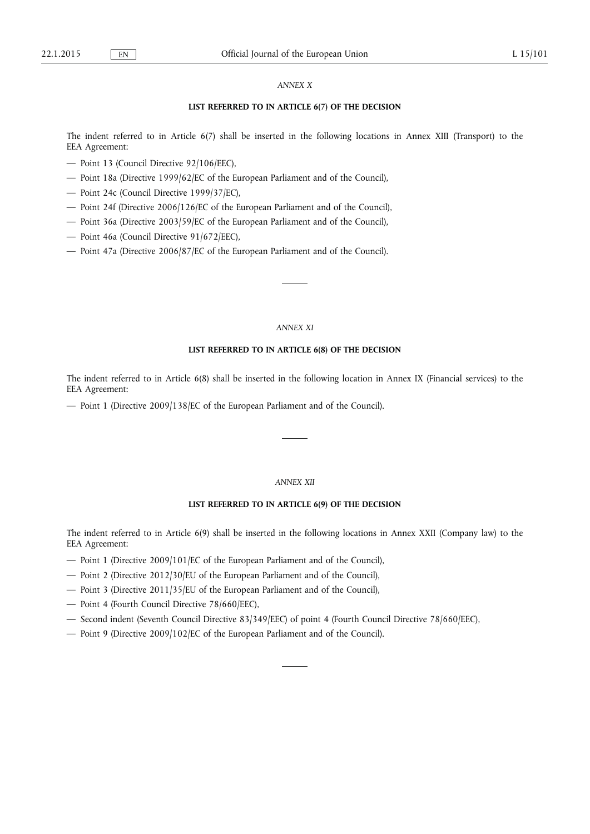## *ANNEX X*

# **LIST REFERRED TO IN ARTICLE 6(7) OF THE DECISION**

The indent referred to in Article 6(7) shall be inserted in the following locations in Annex XIII (Transport) to the EEA Agreement:

- Point 13 (Council Directive 92/106/EEC),
- Point 18a (Directive 1999/62/EC of the European Parliament and of the Council),
- Point 24c (Council Directive 1999/37/EC),
- Point 24f (Directive 2006/126/EC of the European Parliament and of the Council),
- Point 36a (Directive 2003/59/EC of the European Parliament and of the Council),
- Point 46a (Council Directive 91/672/EEC),
- Point 47a (Directive 2006/87/EC of the European Parliament and of the Council).

#### *ANNEX XI*

#### **LIST REFERRED TO IN ARTICLE 6(8) OF THE DECISION**

The indent referred to in Article 6(8) shall be inserted in the following location in Annex IX (Financial services) to the EEA Agreement:

— Point 1 (Directive 2009/138/EC of the European Parliament and of the Council).

## *ANNEX XII*

# **LIST REFERRED TO IN ARTICLE 6(9) OF THE DECISION**

The indent referred to in Article 6(9) shall be inserted in the following locations in Annex XXII (Company law) to the EEA Agreement:

- Point 1 (Directive 2009/101/EC of the European Parliament and of the Council),
- Point 2 (Directive 2012/30/EU of the European Parliament and of the Council),
- Point 3 (Directive 2011/35/EU of the European Parliament and of the Council),
- Point 4 (Fourth Council Directive 78/660/EEC),
- Second indent (Seventh Council Directive 83/349/EEC) of point 4 (Fourth Council Directive 78/660/EEC),
- Point 9 (Directive 2009/102/EC of the European Parliament and of the Council).